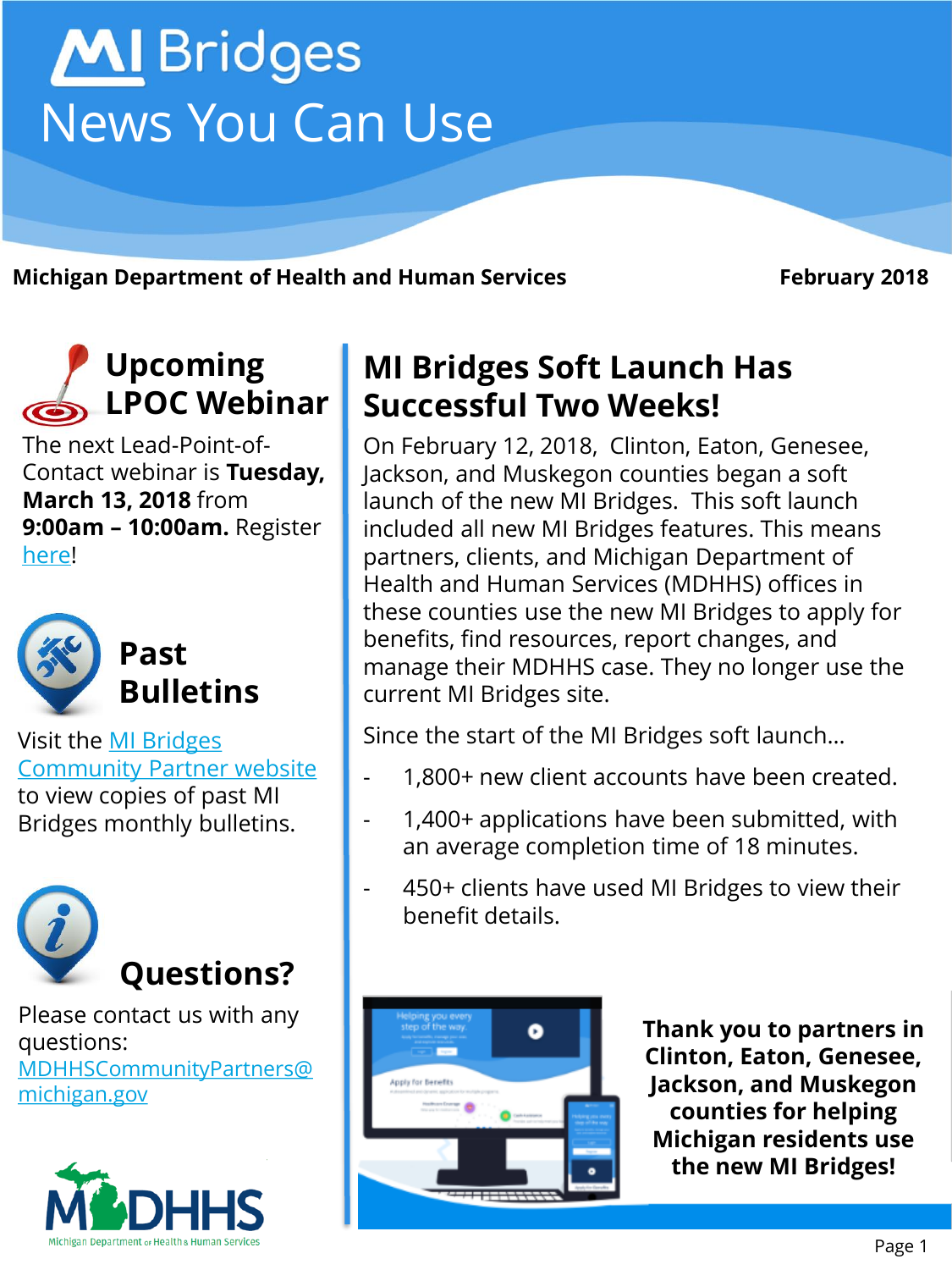

**Michigan Department of Health and Human Services February 2018** 

## **Upcoming LPOC Webinar**

The next Lead-Point-of-Contact webinar is **Tuesday, March 13, 2018** from **9:00am – 10:00am.** Register [here](https://attendee.gotowebinar.com/register/4791688555095052289)!



Visit the MI Bridges [Community Partner website](http://www.michigan.gov/mdhhs/0,5885,7-339-71551_82637---,00.html)  to view copies of past MI Bridges monthly bulletins.



Please contact us with any questions: [MDHHSCommunityPartners@](mailto:MDHHSCommunityPartners@michigan.gov) michigan.gov



### **MI Bridges Soft Launch Has Successful Two Weeks!**

On February 12, 2018, Clinton, Eaton, Genesee, Jackson, and Muskegon counties began a soft launch of the new MI Bridges. This soft launch included all new MI Bridges features. This means partners, clients, and Michigan Department of Health and Human Services (MDHHS) offices in these counties use the new MI Bridges to apply for benefits, find resources, report changes, and manage their MDHHS case. They no longer use the current MI Bridges site.

Since the start of the MI Bridges soft launch…

- 1,800+ new client accounts have been created.
- 1,400+ applications have been submitted, with an average completion time of 18 minutes.
- 450+ clients have used MI Bridges to view their benefit details.



**Thank you to partners in Clinton, Eaton, Genesee, Jackson, and Muskegon counties for helping Michigan residents use the new MI Bridges!**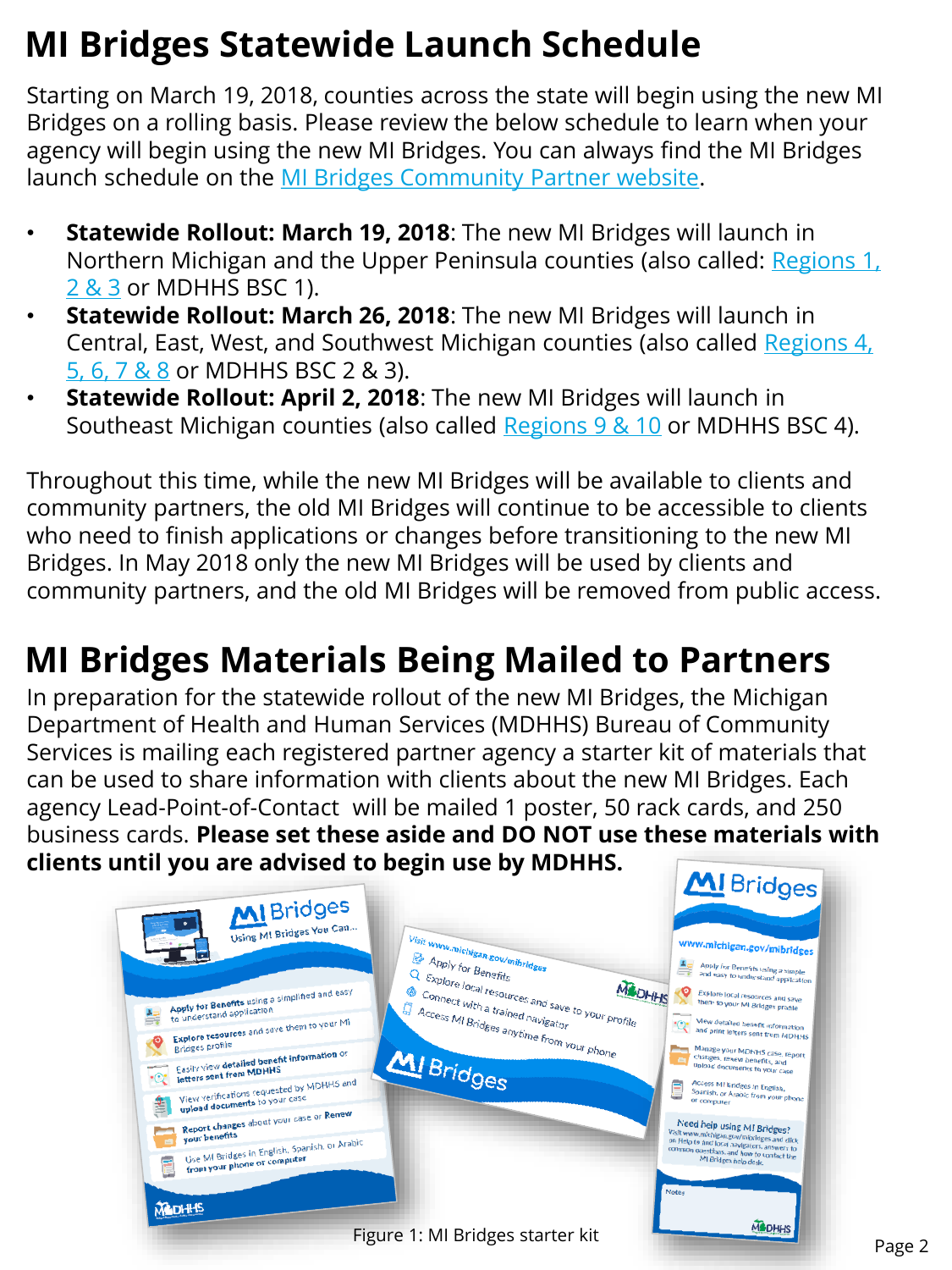## **MI Bridges Statewide Launch Schedule**

Starting on March 19, 2018, counties across the state will begin using the new MI Bridges on a rolling basis. Please review the below schedule to learn when your agency will begin using the new MI Bridges. You can always find the MI Bridges launch schedule on the [MI Bridges Community Partner website.](http://www.michigan.gov/mdhhs/0,5885,7-339-71551_82637-449784--,00.html)

- **Statewide Rollout: March 19, 2018**: The new MI Bridges will launch in [Northern Michigan and the Upper Peninsula counties \(also called: Regions 1,](http://www.michigan.gov/documents/dmb/Prosperity_Map1_430346_7.pdf)  2 & 3 or MDHHS BSC 1).
- **Statewide Rollout: March 26, 2018**: The new MI Bridges will launch in [Central, East, West, and Southwest Michigan counties \(also called Regions 4,](http://www.michigan.gov/documents/dmb/Prosperity_Map1_430346_7.pdf) 5, 6, 7 & 8 or MDHHS BSC 2 & 3).
- **Statewide Rollout: April 2, 2018**: The new MI Bridges will launch in Southeast Michigan counties (also called [Regions 9 & 10](http://www.michigan.gov/documents/dmb/Prosperity_Map1_430346_7.pdf) or MDHHS BSC 4).

Throughout this time, while the new MI Bridges will be available to clients and community partners, the old MI Bridges will continue to be accessible to clients who need to finish applications or changes before transitioning to the new MI Bridges. In May 2018 only the new MI Bridges will be used by clients and community partners, and the old MI Bridges will be removed from public access.

# **MI Bridges Materials Being Mailed to Partners**

In preparation for the statewide rollout of the new MI Bridges, the Michigan Department of Health and Human Services (MDHHS) Bureau of Community Services is mailing each registered partner agency a starter kit of materials that can be used to share information with clients about the new MI Bridges. Each agency Lead-Point-of-Contact will be mailed 1 poster, 50 rack cards, and 250 business cards. **Please set these aside and DO NOT use these materials with clients until you are advised to begin use by MDHHS.** 

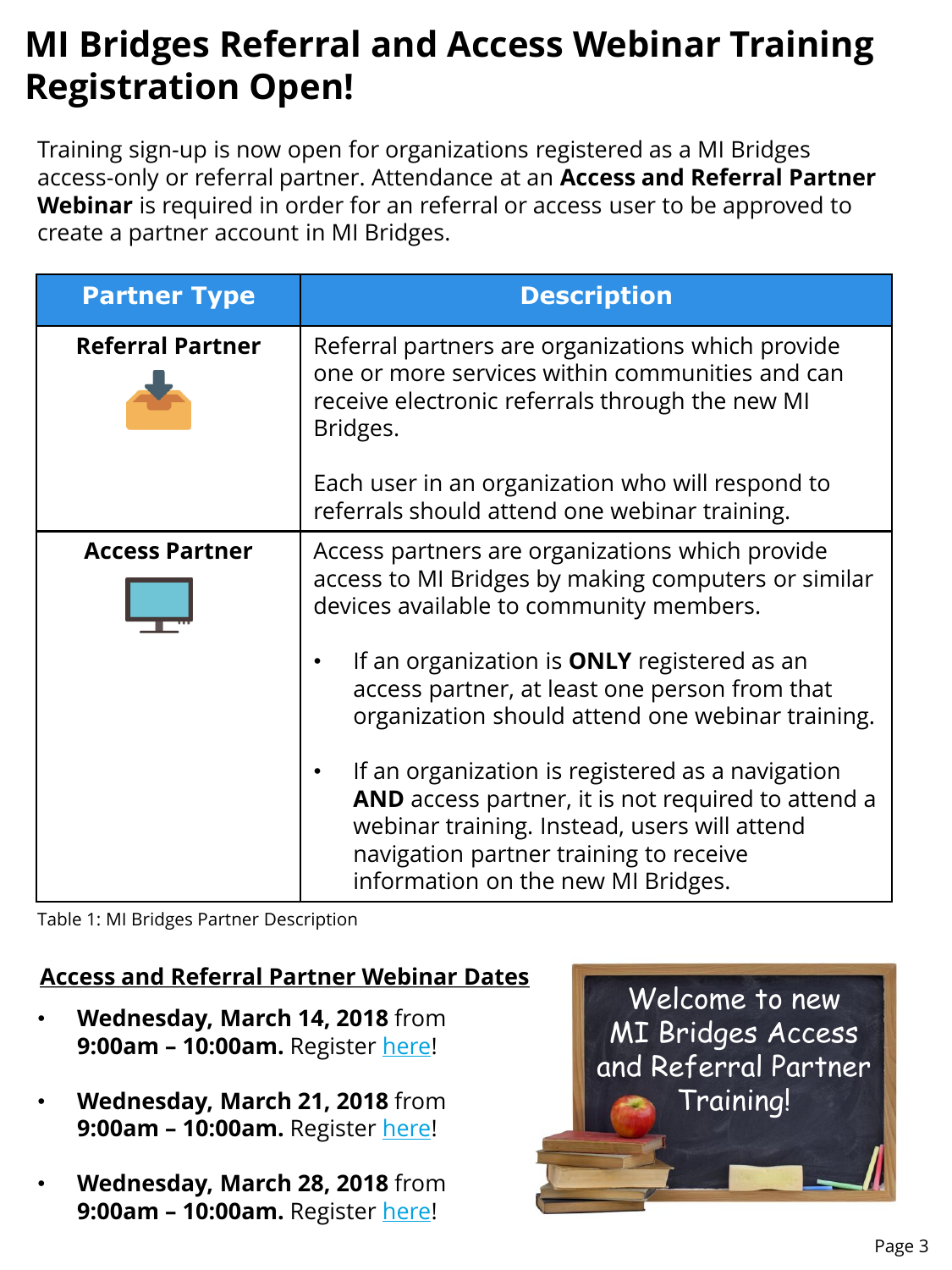## **MI Bridges Referral and Access Webinar Training Registration Open!**

Training sign-up is now open for organizations registered as a MI Bridges access-only or referral partner. Attendance at an **Access and Referral Partner Webinar** is required in order for an referral or access user to be approved to create a partner account in MI Bridges.

| <b>Partner Type</b>     | <b>Description</b>                                                                                                                                                                                                                     |
|-------------------------|----------------------------------------------------------------------------------------------------------------------------------------------------------------------------------------------------------------------------------------|
| <b>Referral Partner</b> | Referral partners are organizations which provide<br>one or more services within communities and can<br>receive electronic referrals through the new MI<br>Bridges.<br>Each user in an organization who will respond to                |
|                         | referrals should attend one webinar training.                                                                                                                                                                                          |
| <b>Access Partner</b>   | Access partners are organizations which provide<br>access to MI Bridges by making computers or similar<br>devices available to community members.                                                                                      |
|                         | If an organization is ONLY registered as an<br>access partner, at least one person from that<br>organization should attend one webinar training.                                                                                       |
|                         | If an organization is registered as a navigation<br>AND access partner, it is not required to attend a<br>webinar training. Instead, users will attend<br>navigation partner training to receive<br>information on the new MI Bridges. |

Table 1: MI Bridges Partner Description

#### **Access and Referral Partner Webinar Dates**

- **Wednesday, March 14, 2018** from **9:00am – 10:00am.** Register [here!](https://attendee.gotowebinar.com/register/8326672314990914306)
- **Wednesday, March 21, 2018** from **9:00am – 10:00am.** Register [here!](https://attendee.gotowebinar.com/register/3563899105237889538)
- **Wednesday, March 28, 2018** from **9:00am – 10:00am.** Register [here!](https://attendee.gotowebinar.com/register/5117890565820289282)